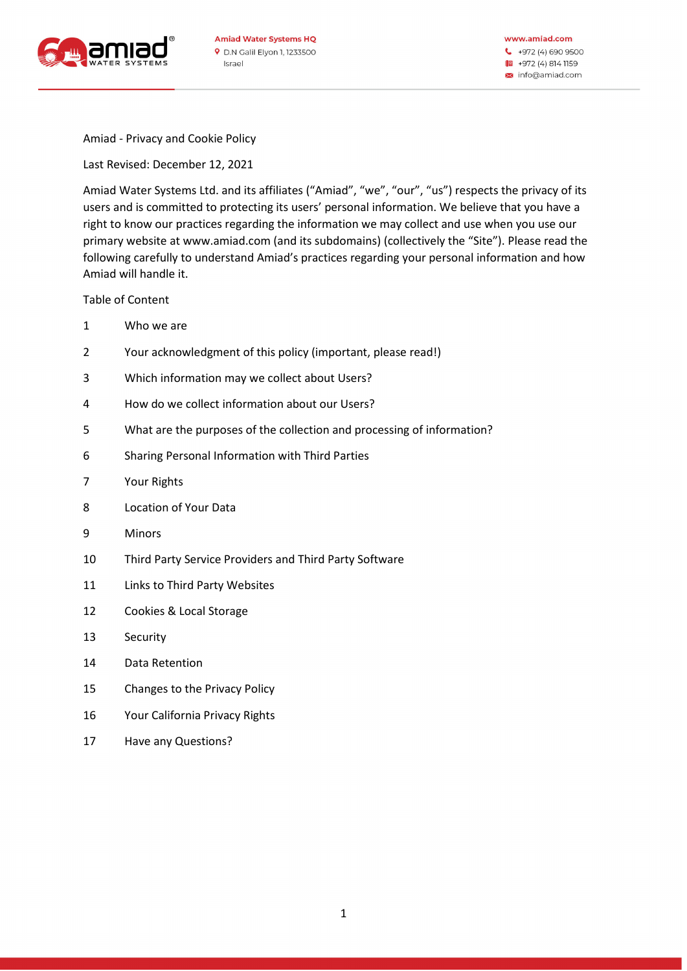

www.amiad.com  $\begin{array}{cc} \bullet & +972 \ (4) \ 690 \ 9500 \end{array}$ |■ +972 (4) 814 1159 × info@amiad.com

Amiad - Privacy and Cookie Policy

Last Revised: December 12, 2021

Amiad Water Systems Ltd. and its affiliates ("Amiad", "we", "our", "us") respects the privacy of its users and is committed to protecting its users' personal information. We believe that you have a right to know our practices regarding the information we may collect and use when you use our primary website at www.amiad.com (and its subdomains) (collectively the "Site"). Please read the following carefully to understand Amiad's practices regarding your personal information and how Amiad will handle it.

Table of Content

- 1 Who we are
- 2 Your acknowledgment of this policy (important, please read!)
- 3 Which information may we collect about Users?
- 4 How do we collect information about our Users ?
- 5 What are the purposes of the collection and processing of information ?
- 6 Sharing Personal Information with Third Parties
- 7 Your Rights
- 8 Location of Your Data
- 9 Minors
- 10 Third Party Service Providers and Third Party Software
- 11 Links to Third Party Websites
- 12 Cookies & Local Storage
- 13 Security
- 14 Data Retention
- 15 Changes to the Privacy Policy
- 16 Your California Privacy Rights
- 17 Have any Questions?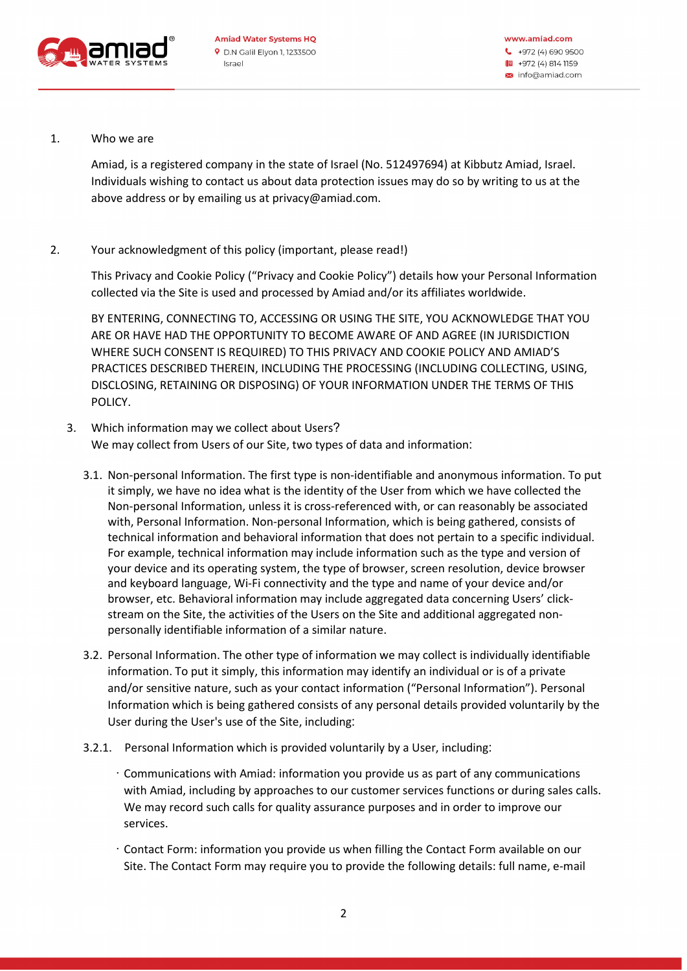

1. Who we are

Amiad, is a registered company in the state of Israel (No. 512497694) at Kibbutz Amiad, Israel. Individuals wishing to contact us about data protection issues may do so by writing to us at the above address or by emailing us at privacy@amiad.com.

2. Your acknowledgment of this policy (important, please read!)

This Privacy and Cookie Policy ("Privacy and Cookie Policy") details how your Personal Information collected via the Site is used and processed by Amiad and/or its affiliates worldwide .

BY ENTERING, CONNECTING TO, ACCESSING OR USING THE SITE, YOU ACKNOWLEDGE THAT YOU ARE OR HAVE HAD THE OPPORTUNITY TO BECOME AWARE OF AND AGREE (IN JURISDICTION WHERE SUCH CONSENT IS REQUIRED) TO THIS PRIVACY AND COOKIE POLICY AND AMIAD'S PRACTICES DESCRIBED THEREIN, INCLUDING THE PROCESSING (INCLUDING COLLECTING, USING, DISCLOSING, RETAINING OR DISPOSING) OF YOUR INFORMATION UNDER THE TERMS OF THIS POLICY.

- 3. Which information may we collect about Users? We may collect from Users of our Site, two types of data and information:
	- 3.1 . Non-personal Information. The first type is non-identifiable and anonymous information. To put it simply, we have no idea what is the identity of the User from which we have collected the Non-personal Information, unless it is cross-referenced with, or can reasonably be associated with, Personal Information. Non-personal Information, which is being gathered, consists of technical information and behavioral information that does not pertain to a specific individual. For example, technical information may include information such as the type and version of your device and its operating system, the type of browser, screen resolution, device browser and keyboard language, Wi-Fi connectivity and the type and name of your device and/or browser, etc. Behavioral information may include aggregated data concerning Users' clickstream on the Site, the activities of the Users on the Site and additional aggregated nonpersonally identifiable information of a similar nature .
	- 3.2 . Personal Information. The other type of information we may collect is individually identifiable information. To put it simply, this information may identify an individual or is of a private and/or sensitive nature, such as your contact information ("Personal Information"). Personal Information which is being gathered consists of any personal details provided voluntarily by the User during the User's use of the Site, including:
	- 3.2.1 . Personal Information which is provided voluntarily by a User, including :
		- · Communications with Amiad: information you provide us as part of any communications with Amiad, including by approaches to our customer services functions or during sales calls. We may record such calls for quality assurance purposes and in order to improve our services.
		- · Contact Form: information you provide us when filling the Contact Form available on our Site. The Contact Form may require you to provide the following details: full name, e-mail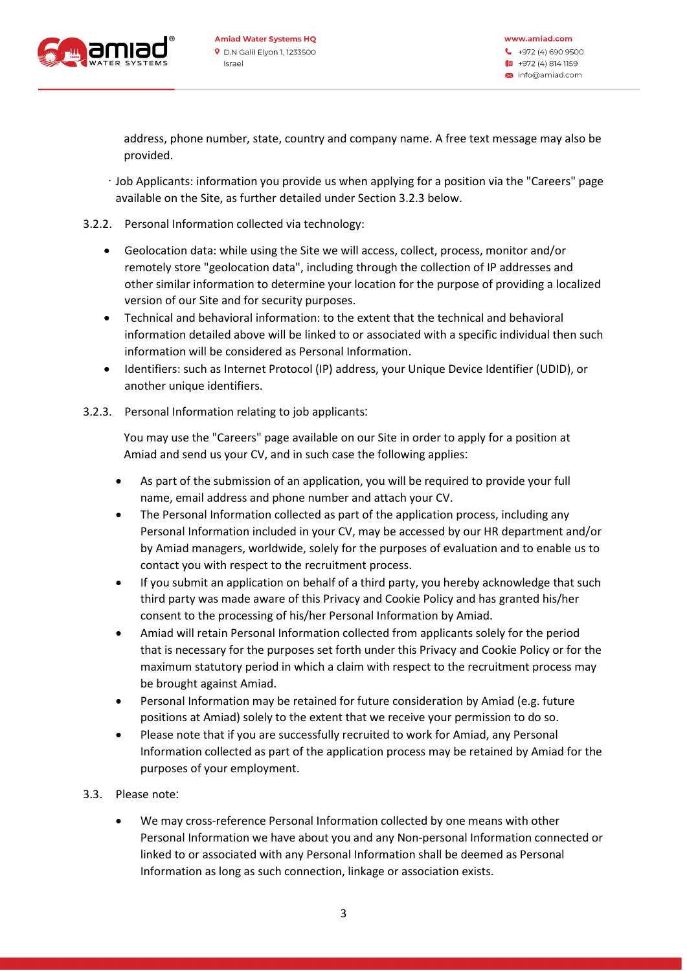

address, phone number, state, country and company name. A free text message may also be provided.

- · Job Applicants: information you provide us when applying for a position via the "Careers" page available on the Site, as further detailed under Section 3.2.3 below.
- 3.2.2. Personal Information collected via technology:
	- Geolocation data: while using the Site we will access, collect, process, monitor and/or remotely store "geolocation data", including through the collection of IP addresses and other similar information to determine your location for the purpose of providing a localized version of our Site and for security purposes .
	- Technical and behavioral information: to the extent that the technical and behavioral information detailed above will be linked to or associated with a specific individual then such information will be considered as Personal Information.
	- Identifiers: such as Internet Protocol (IP) address, your Unique Device Identifier (UDID), or another unique identifiers.
- 3.2.3. Personal Information relating to job applicants:

You may use the "Careers" page available on our Site in order to apply for a position at Amiad and send us your CV, and in such case the following applies:

- As part of the submission of an application, you will be required to provide your full name, email address and phone number and attach your CV .
- The Personal Information collected as part of the application process, including any Personal Information included in your CV, may be accessed by our HR department and/or by Amiad managers, worldwide, solely for the purposes of evaluation and to enable us to contact you with respect to the recruitment process .
- If you submit an application on behalf of a third party, you hereby acknowledge that such third party was made aware of this Privacy and Cookie Policy and has granted his/her consent to the processing of his/her Personal Information by Amiad .
- Amiad will retain Personal Information collected from applicants solely for the period that is necessary for the purposes set forth under this Privacy and Cookie Policy or for the maximum statutory period in which a claim with respect to the recruitment process may be brought against Amiad.
- Personal Information may be retained for future consideration by Amiad (e.g. future positions at Amiad) solely to the extent that we receive your permission to do so .
- Please note that if you are successfully recruited to work for Amiad, any Personal Information collected as part of the application process may be retained by Amiad for the purposes of your employment.
- 3.3. Please note:
	- We may cross-reference Personal Information collected by one means with other Personal Information we have about you and any Non-personal Information connected or linked to or associated with any Personal Information shall be deemed as Personal Information as long as such connection, linkage or association exists .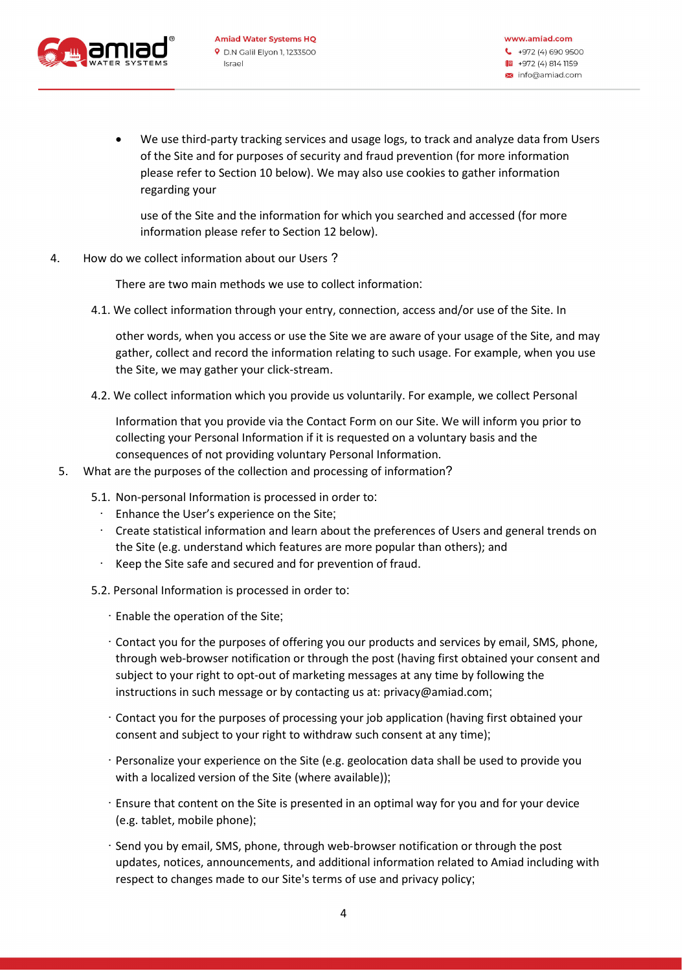

• We use third-party tracking services and usage logs, to track and analyze data from Users of the Site and for purposes of security and fraud prevention (for more information please refer to Section 10 below). We may also use cookies to gather information regarding your

use of the Site and the information for which you searched and accessed (for more information please refer to Section 12 below).

4. How do we collect information about our Users?

There are two main methods we use to collect information:

4.1. We collect information through your entry, connection, access and/or use of the Site. In

other words, when you access or use the Site we are aware of your usage of the Site, and may gather, collect and record the information relating to such usage. For example, when you use the Site, we may gather your click-stream .

4.2. We collect information which you provide us voluntarily. For example, we collect Personal

Information that you provide via the Contact Form on our Site. We will inform you prior to collecting your Personal Information if it is requested on a voluntary basis and the consequences of not providing voluntary Personal Information .

- 5. What are the purposes of the collection and processing of information?
	- 5.1. Non-personal Information is processed in order to :
		- Enhance the User's experience on the Site:
		- · Create statistical information and learn about the preferences of Users and general trends on the Site (e.g. understand which features are more popular than others); and
		- Keep the Site safe and secured and for prevention of fraud.
	- 5.2. Personal Information is processed in order to:
		- · Enable the operation of the Site ;
		- · Contact you for the purposes of offering you our products and services by email, SMS, phone, through web-browser notification or through the post (having first obtained your consent and subject to your right to opt-out of marketing messages at any time by following the instructions in such message or by contacting us at: privacy@amiad.com;
		- · Contact you for the purposes of processing your job application (having first obtained your consent and subject to your right to withdraw such consent at any time);
		- · Personalize your experience on the Site (e.g. geolocation data shall be used to provide you with a localized version of the Site (where available));
		- · Ensure that content on the Site is presented in an optimal way for you and for your device (e.g. tablet, mobile phone);
		- · Send you by email, SMS, phone, through web-browser notification or through the post updates, notices, announcements, and additional information related to Amiad including with respect to changes made to our Site's terms of use and privacy policy ;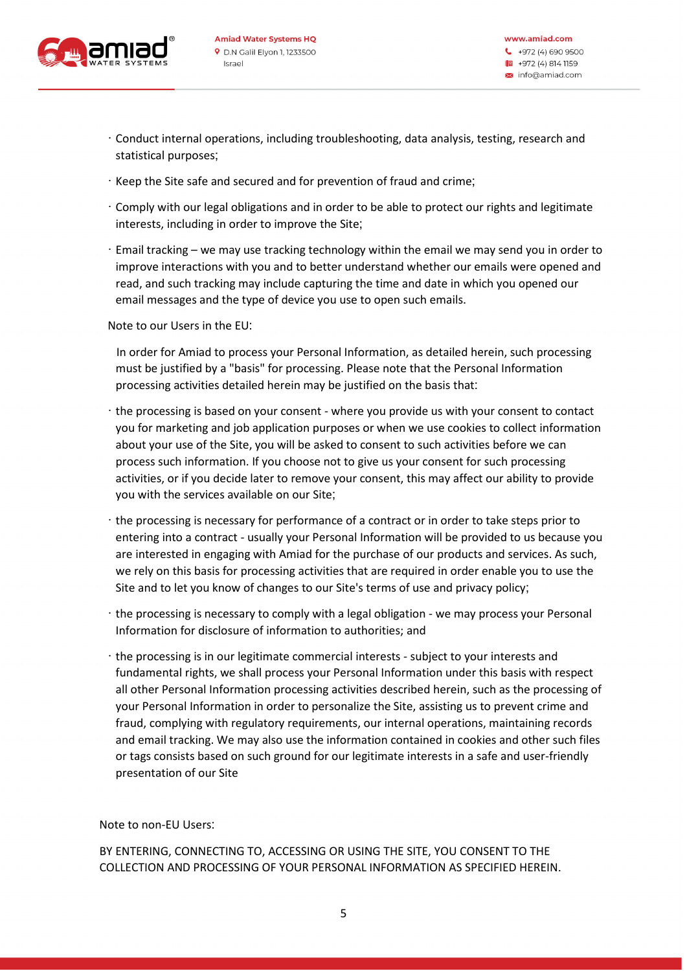

- · Conduct internal operations, including troubleshooting, data analysis, testing, research and statistical purposes ;
- · Keep the Site safe and secured and for prevention of fraud and crime ;
- · Comply with our legal obligations and in order to be able to protect our rights and legitimate interests, including in order to improve the Site;
- · Email tracking we may use tracking technology within the email we may send you in order to improve interactions with you and to better understand whether our emails were opened and read, and such tracking may include capturing the time and date in which you opened our email messages and the type of device you use to open such emails.

Note to our Users in the EU :

 In order for Amiad to process your Personal Information, as detailed herein, such processing must be justified by a "basis" for processing. Please note that the Personal Information processing activities detailed herein may be justified on the basis that :

- · the processing is based on your consent where you provide us with your consent to contact you for marketing and job application purposes or when we use cookies to collect information about your use of the Site, you will be asked to consent to such activities before we can process such information. If you choose not to give us your consent for such processing activities, or if you decide later to remove your consent, this may affect our ability to provide you with the services available on our Site;
- · the processing is necessary for performance of a contract or in order to take steps prior to entering into a contract - usually your Personal Information will be provided to us because you are interested in engaging with Amiad for the purchase of our products and services. As such, we rely on this basis for processing activities that are required in order enable you to use the Site and to let you know of changes to our Site's terms of use and privacy policy ;
- · the processing is necessary to comply with a legal obligation we may process your Personal Information for disclosure of information to authorities; and
- · the processing is in our legitimate commercial interests subject to your interests and fundamental rights, we shall process your Personal Information under this basis with respect all other Personal Information processing activities described herein, such as the processing of your Personal Information in order to personalize the Site, assisting us to prevent crime and fraud, complying with regulatory requirements, our internal operations, maintaining records and email tracking. We may also use the information contained in cookies and other such files or tags consists based on such ground for our legitimate interests in a safe and user-friendly presentation of our Site

Note to non-EU Users :

BY ENTERING, CONNECTING TO, ACCESSING OR USING THE SITE, YOU CONSENT TO THE COLLECTION AND PROCESSING OF YOUR PERSONAL INFORMATION AS SPECIFIED HEREIN .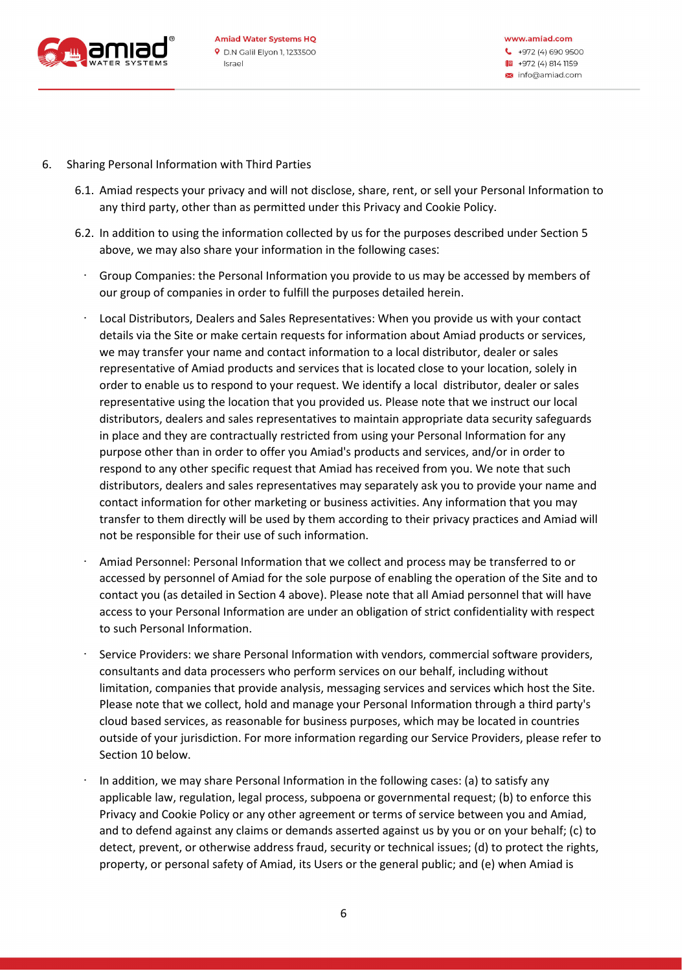

- 6. Sharing Personal Information with Third Parties
	- 6.1 . Amiad respects your privacy and will not disclose, share, rent, or sell your Personal Information to any third party, other than as permitted under this Privacy and Cookie Policy .
	- 6.2 . In addition to using the information collected by us for the purposes described under Section 5 above, we may also share your information in the following cases:
		- · Group Companies: the Personal Information you provide to us may be accessed by members of our group of companies in order to fulfill the purposes detailed herein.
		- · Local Distributors, Dealers and Sales Representatives: When you provide us with your contact details via the Site or make certain requests for information about Amiad products or services, we may transfer your name and contact information to a local distributor, dealer or sales representative of Amiad products and services that is located close to your location, solely in order to enable us to respond to your request. We identify a local distributor, dealer or sales representative using the location that you provided us. Please note that we instruct our local distributors, dealers and sales representatives to maintain appropriate data security safeguards in place and they are contractually restricted from using your Personal Information for any purpose other than in order to offer you Amiad's products and services, and/or in order to respond to any other specific request that Amiad has received from you. We note that such distributors, dealers and sales representatives may separately ask you to provide your name and contact information for other marketing or business activities. Any information that you may transfer to them directly will be used by them according to their privacy practices and Amiad will not be responsible for their use of such information.
		- · Amiad Personnel: Personal Information that we collect and process may be transferred to or accessed by personnel of Amiad for the sole purpose of enabling the operation of the Site and to contact you (as detailed in Section 4 above). Please note that all Amiad personnel that will have access to your Personal Information are under an obligation of strict confidentiality with respect to such Personal Information.
		- · Service Providers: we share Personal Information with vendors, commercial software providers, consultants and data processers who perform services on our behalf, including without limitation, companies that provide analysis, messaging services and services which host the Site. Please note that we collect, hold and manage your Personal Information through a third party's cloud based services, as reasonable for business purposes, which may be located in countries outside of your jurisdiction. For more information regarding our Service Providers, please refer to Section 10 below.
		- · In addition, we may share Personal Information in the following cases: (a) to satisfy any applicable law, regulation, legal process, subpoena or governmental request; (b) to enforce this Privacy and Cookie Policy or any other agreement or terms of service between you and Amiad, and to defend against any claims or demands asserted against us by you or on your behalf; (c) to detect, prevent, or otherwise address fraud, security or technical issues; (d) to protect the rights, property, or personal safety of Amiad, its Users or the general public; and (e) when Amiad is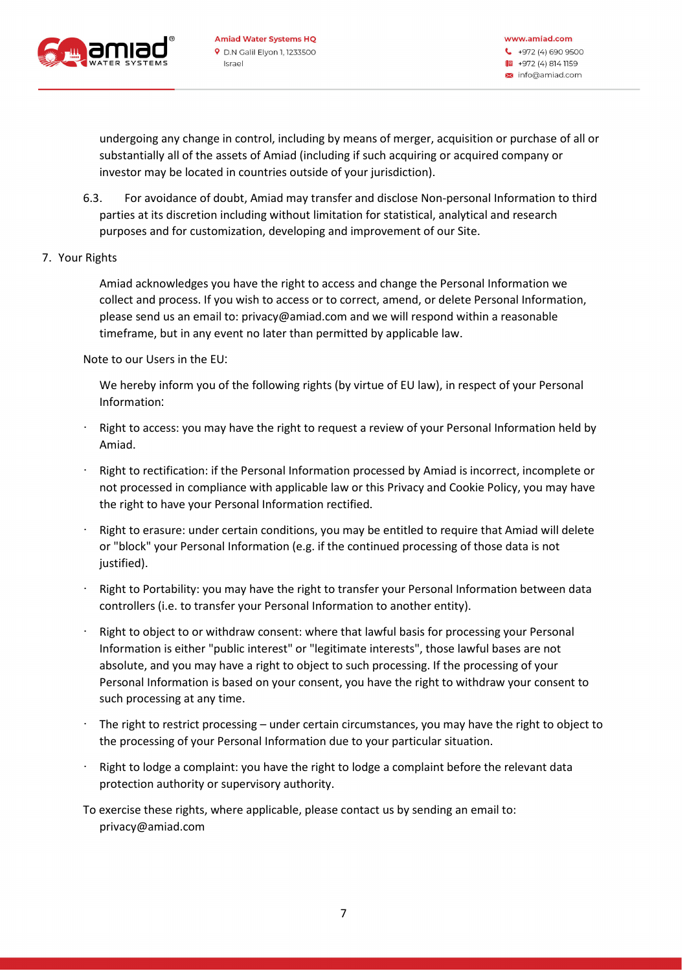

undergoing any change in control, including by means of merger, acquisition or purchase of all or substantially all of the assets of Amiad (including if such acquiring or acquired company or investor may be located in countries outside of your jurisdiction) .

- 6.3 . For avoidance of doubt, Amiad may transfer and disclose Non-personal Information to third parties at its discretion including without limitation for statistical, analytical and research purposes and for customization, developing and improvement of our Site .
- 7. Your Rights

Amiad acknowledges you have the right to access and change the Personal Information we collect and process. If you wish to access or to correct, amend, or delete Personal Information, please send us an email to: privacy@amiad.com and we will respond within a reasonable timeframe, but in any event no later than permitted by applicable law .

Note to our Users in the EU :

We hereby inform you of the following rights (by virtue of EU law), in respect of your Personal Information:

- Right to access: you may have the right to request a review of your Personal Information held by Amiad.
- · Right to rectification: if the Personal Information processed by Amiad is incorrect, incomplete or not processed in compliance with applicable law or this Privacy and Cookie Policy, you may have the right to have your Personal Information rectified .
- Right to erasure: under certain conditions, you may be entitled to require that Amiad will delete or "block" your Personal Information (e.g. if the continued processing of those data is not justified).
- · Right to Portability: you may have the right to transfer your Personal Information between data controllers (i.e. to transfer your Personal Information to another entity) .
- Right to object to or withdraw consent: where that lawful basis for processing your Personal Information is either "public interest" or "legitimate interests", those lawful bases are not absolute, and you may have a right to object to such processing. If the processing of your Personal Information is based on your consent, you have the right to withdraw your consent to such processing at any time.
- The right to restrict processing under certain circumstances, you may have the right to object to the processing of your Personal Information due to your particular situation.
- Right to lodge a complaint: you have the right to lodge a complaint before the relevant data protection authority or supervisory authority.
- To exercise these rights, where applicable, please contact us by sending an email to: privacy@amiad.com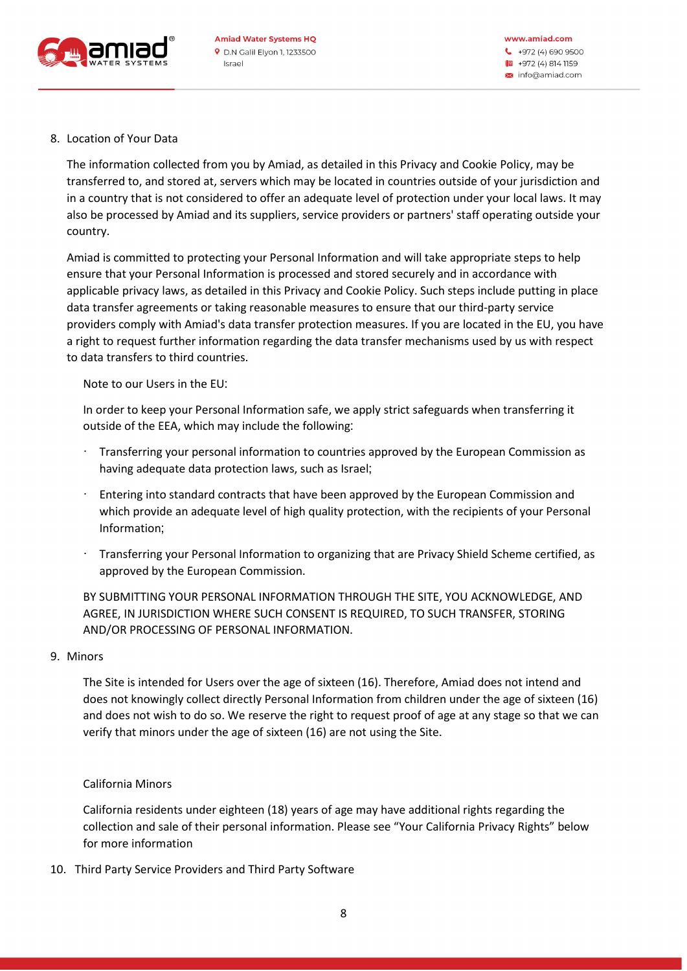

# 8. Location of Your Data

The information collected from you by Amiad, as detailed in this Privacy and Cookie Policy, may be transferred to, and stored at, servers which may be located in countries outside of your jurisdiction and in a country that is not considered to offer an adequate level of protection under your local laws. It may also be processed by Amiad and its suppliers, service providers or partners' staff operating outside your country.

Amiad is committed to protecting your Personal Information and will take appropriate steps to help ensure that your Personal Information is processed and stored securely and in accordance with applicable privacy laws, as detailed in this Privacy and Cookie Policy. Such steps include putting in place data transfer agreements or taking reasonable measures to ensure that our third-party service providers comply with Amiad's data transfer protection measures. If you are located in the EU, you have a right to request further information regarding the data transfer mechanisms used by us with respect to data transfers to third countries .

Note to our Users in the EU :

In order to keep your Personal Information safe, we apply strict safeguards when transferring it outside of the EEA, which may include the following:

- · Transferring your personal information to countries approved by the European Commission as having adequate data protection laws, such as Israel;
- · Entering into standard contracts that have been approved by the European Commission and which provide an adequate level of high quality protection, with the recipients of your Personal Information;
- · Transferring your Personal Information to organizing that are Privacy Shield Scheme certified, as approved by the European Commission.

BY SUBMITTING YOUR PERSONAL INFORMATION THROUGH THE SITE, YOU ACKNOWLEDGE, AND AGREE, IN JURISDICTION WHERE SUCH CONSENT IS REQUIRED, TO SUCH TRANSFER, STORING AND/OR PROCESSING OF PERSONAL INFORMATION.

## 9. Minors

The Site is intended for Users over the age of sixteen (16). Therefore, Amiad does not intend and does not knowingly collect directly Personal Information from children under the age of sixteen (16) and does not wish to do so. We reserve the right to request proof of age at any stage so that we can verify that minors under the age of sixteen (16) are not using the Site .

## California Minors

California residents under eighteen (18) years of age may have additional rights regarding the collection and sale of their personal information. Please see "Your California Privacy Rights" below for more information

10. Third Party Service Providers and Third Party Software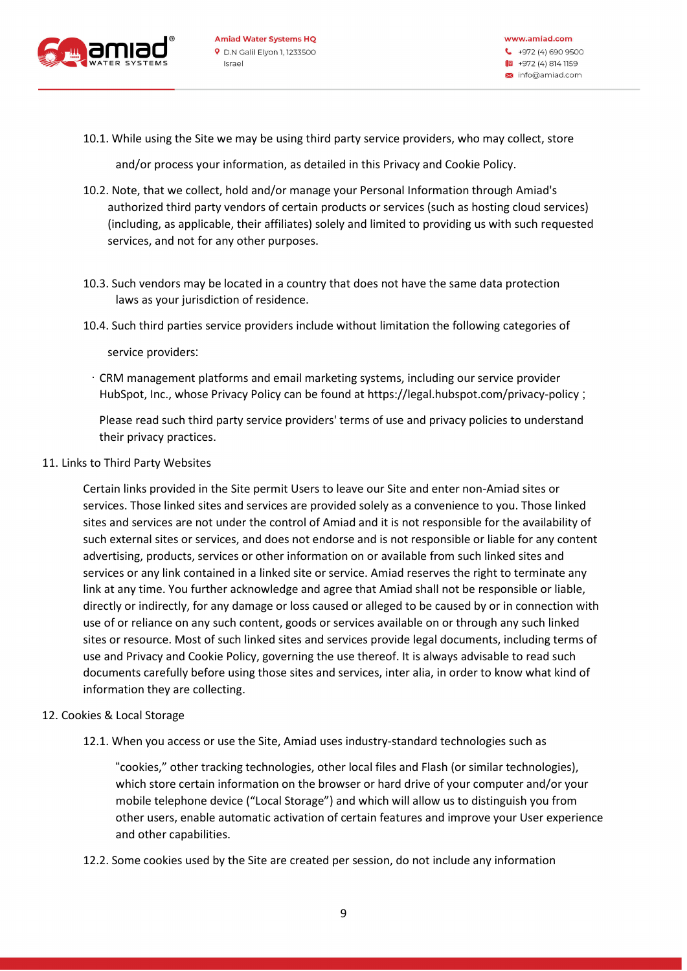

10.1. While using the Site we may be using third party service providers, who may collect, store

and/or process your information, as detailed in this Privacy and Cookie Policy .

- 10.2. Note, that we collect, hold and/or manage your Personal Information through Amiad's authorized third party vendors of certain products or services (such as hosting cloud services) (including, as applicable, their affiliates) solely and limited to providing us with such requested services, and not for any other purposes.
- 10.3. Such vendors may be located in a country that does not have the same data protection laws as your jurisdiction of residence.
- 10.4. Such third parties service providers include without limitation the following categories of

service providers:

· CRM management platforms and email marketing systems, including our service provider HubSpot, Inc., whose Privacy Policy can be found at https://legal.hubspot.com/privacy-policy ;

Please read such third party service providers' terms of use and privacy policies to understand their privacy practices.

#### 11. Links to Third Party Websites

Certain links provided in the Site permit Users to leave our Site and enter non-Amiad sites or services. Those linked sites and services are provided solely as a convenience to you. Those linked sites and services are not under the control of Amiad and it is not responsible for the availability of such external sites or services, and does not endorse and is not responsible or liable for any content advertising, products, services or other information on or available from such linked sites and services or any link contained in a linked site or service. Amiad reserves the right to terminate any link at any time. You further acknowledge and agree that Amiad shall not be responsible or liable, directly or indirectly, for any damage or loss caused or alleged to be caused by or in connection with use of or reliance on any such content, goods or services available on or through any such linked sites or resource. Most of such linked sites and services provide legal documents, including terms of use and Privacy and Cookie Policy, governing the use thereof. It is always advisable to read such documents carefully before using those sites and services, inter alia, in order to know what kind of information they are collecting.

#### 12. Cookies & Local Storage

12.1. When you access or use the Site, Amiad uses industry-standard technologies such as

"cookies," other tracking technologies, other local files and Flash (or similar technologies), which store certain information on the browser or hard drive of your computer and/or your mobile telephone device ("Local Storage") and which will allow us to distinguish you from other users, enable automatic activation of certain features and improve your User experience and other capabilities .

12.2. Some cookies used by the Site are created per session, do not include any information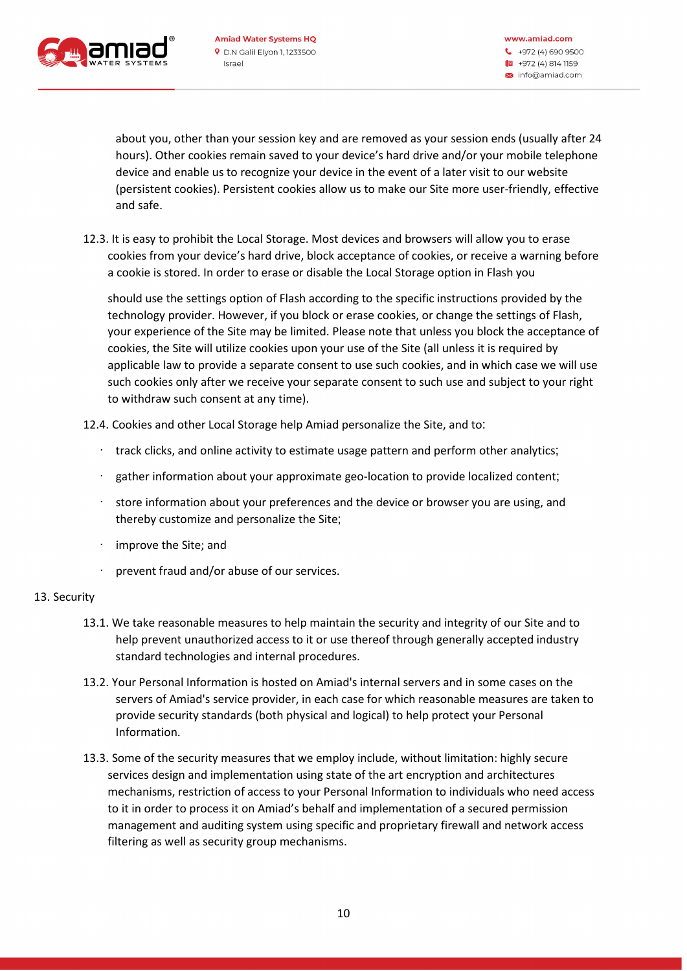

about you, other than your session key and are removed as your session ends (usually after 24 hours). Other cookies remain saved to your device's hard drive and/or your mobile telephone device and enable us to recognize your device in the event of a later visit to our website (persistent cookies). Persistent cookies allow us to make our Site more user-friendly, effective and safe .

12.3. It is easy to prohibit the Local Storage. Most devices and browsers will allow you to erase cookies from your device's hard drive, block acceptance of cookies, or receive a warning before a cookie is stored. In order to erase or disable the Local Storage option in Flash you

should use the settings option of Flash according to the specific instructions provided by the technology provider. However, if you block or erase cookies, or change the settings of Flash, your experience of the Site may be limited. Please note that unless you block the acceptance of cookies, the Site will utilize cookies upon your use of the Site (all unless it is required by applicable law to provide a separate consent to use such cookies, and in which case we will use such cookies only after we receive your separate consent to such use and subject to your right to withdraw such consent at any time).

- 12.4. Cookies and other Local Storage help Amiad personalize the Site, and to :
	- track clicks, and online activity to estimate usage pattern and perform other analytics;
	- gather information about your approximate geo-location to provide localized content;
	- · store information about your preferences and the device or browser you are using, and thereby customize and personalize the Site;
	- · improve the Site; and
	- · prevent fraud and/or abuse of our services .

## 13. Security

- 13.1. We take reasonable measures to help maintain the security and integrity of our Site and to help prevent unauthorized access to it or use thereof through generally accepted industry standard technologies and internal procedures.
- 13.2. Your Personal Information is hosted on Amiad's internal servers and in some cases on the servers of Amiad's service provider, in each case for which reasonable measures are taken to provide security standards (both physical and logical) to help protect your Personal Information .
- 13.3. Some of the security measures that we employ include, without limitation: highly secure services design and implementation using state of the art encryption and architectures mechanisms, restriction of access to your Personal Information to individuals who need access to it in order to process it on Amiad's behalf and implementation of a secured permission management and auditing system using specific and proprietary firewall and network access filtering as well as security group mechanisms.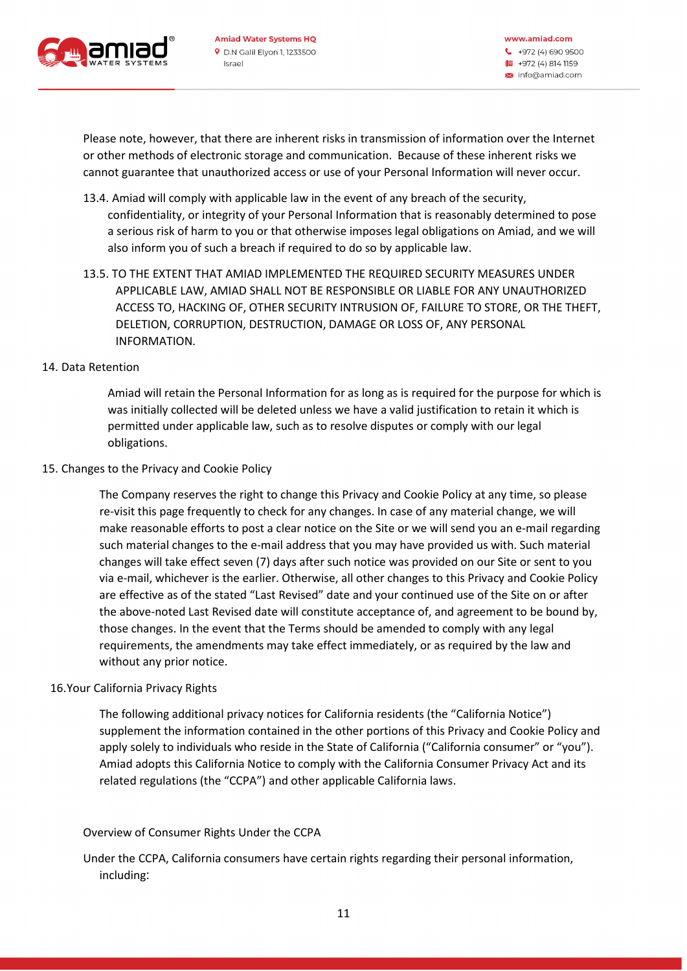

Please note, however, that there are inherent risks in transmission of information over the Internet or other methods of electronic storage and communication. Because of these inherent risks we cannot guarantee that unauthorized access or use of your Personal Information will never occur .

- 13.4. Amiad will comply with applicable law in the event of any breach of the security, confidentiality, or integrity of your Personal Information that is reasonably determined to pose a serious risk of harm to you or that otherwise imposes legal obligations on Amiad, and we will also inform you of such a breach if required to do so by applicable law .
- 13.5. TO THE EXTENT THAT AMIAD IMPLEMENTED THE REQUIRED SECURITY MEASURES UNDER APPLICABLE LAW, AMIAD SHALL NOT BE RESPONSIBLE OR LIABLE FOR ANY UNAUTHORIZED ACCESS TO, HACKING OF, OTHER SECURITY INTRUSION OF, FAILURE TO STORE, OR THE THEFT, DELETION, CORRUPTION, DESTRUCTION, DAMAGE OR LOSS OF, ANY PERSONAL INFORMATION.
- 14. Data Retention

Amiad will retain the Personal Information for as long as is required for the purpose for which is was initially collected will be deleted unless we have a valid justification to retain it which is permitted under applicable law, such as to resolve disputes or comply with our legal obligations.

## 15. Changes to the Privacy and Cookie Policy

The Company reserves the right to change this Privacy and Cookie Policy at any time, so please re-visit this page frequently to check for any changes. In case of any material change, we will make reasonable efforts to post a clear notice on the Site or we will send you an e-mail regarding such material changes to the e-mail address that you may have provided us with. Such material changes will take effect seven (7) days after such notice was provided on our Site or sent to you via e-mail, whichever is the earlier. Otherwise, all other changes to this Privacy and Cookie Policy are effective as of the stated "Last Revised" date and your continued use of the Site on or after the above-noted Last Revised date will constitute acceptance of, and agreement to be bound by, those changes. In the event that the Terms should be amended to comply with any legal requirements, the amendments may take effect immediately, or as required by the law and without any prior notice.

## 16.Your California Privacy Rights

The following additional privacy notices for California residents (the "California Notice") supplement the information contained in the other portions of this Privacy and Cookie Policy and apply solely to individuals who reside in the State of California ("California consumer" or "you"). Amiad adopts this California Notice to comply with the California Consumer Privacy Act and its related regulations (the "CCPA") and other applicable California laws .

## Overview of Consumer Rights Under the CCPA

Under the CCPA, California consumers have certain rights regarding their personal information, including: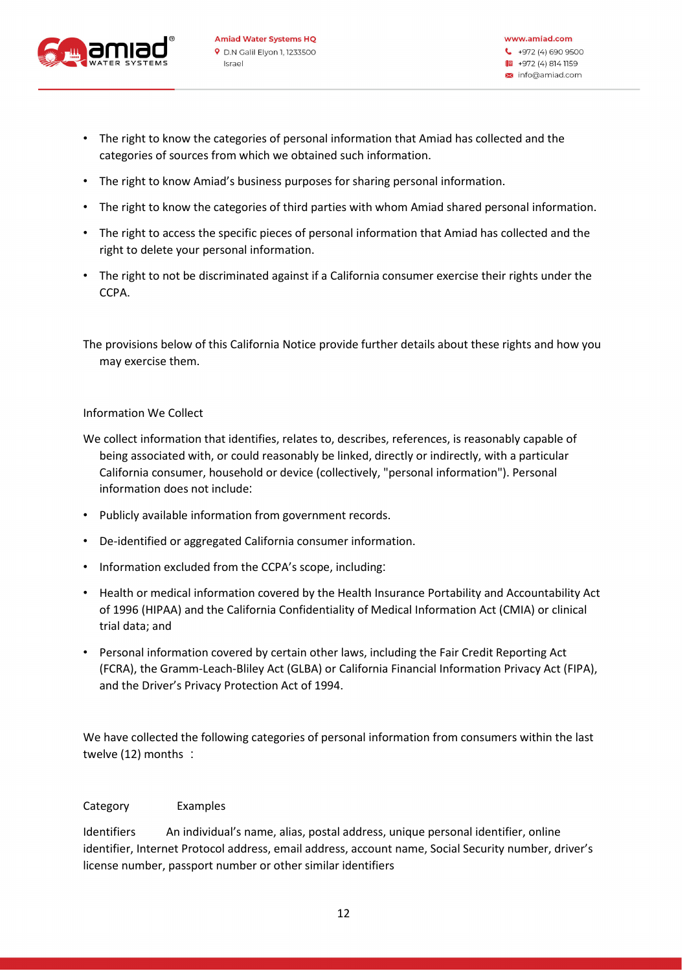

- The right to know the categories of personal information that Amiad has collected and the categories of sources from which we obtained such information .
- The right to know Amiad's business purposes for sharing personal information .
- The right to know the categories of third parties with whom Amiad shared personal information.
- The right to access the specific pieces of personal information that Amiad has collected and the right to delete your personal information.
- The right to not be discriminated against if a California consumer exercise their rights under the CCPA.

The provisions below of this California Notice provide further details about these rights and how you may exercise them.

# Information We Collect

- We collect information that identifies, relates to, describes, references, is reasonably capable of being associated with, or could reasonably be linked, directly or indirectly, with a particular California consumer, household or device (collectively, "personal information"). Personal information does not include :
- Publicly available information from government records .
- De-identified or aggregated California consumer information .
- Information excluded from the CCPA's scope, including:
- Health or medical information covered by the Health Insurance Portability and Accountability Act of 1996 (HIPAA) and the California Confidentiality of Medical Information Act (CMIA) or clinical trial data; and
- Personal information covered by certain other laws, including the Fair Credit Reporting Act (FCRA), the Gramm-Leach-Bliley Act (GLBA) or California Financial Information Privacy Act (FIPA), and the Driver's Privacy Protection Act of 1994.

We have collected the following categories of personal information from consumers within the last twelve (12) months :

## Category Examples

Identifiers An individual's name, alias, postal address, unique personal identifier, online identifier, Internet Protocol address, email address, account name, Social Security number, driver's license number, passport number or other similar identifiers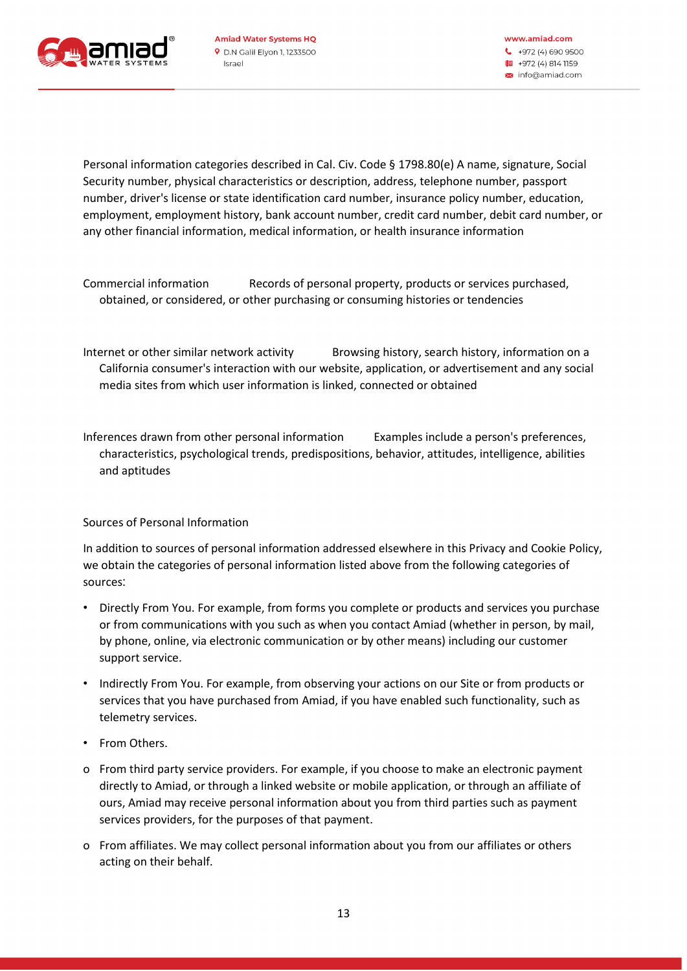

Personal information categories described in Cal. Civ. Code § 1798.80(e) A name, signature, Social Security number, physical characteristics or description, address, telephone number, passport number, driver's license or state identification card number, insurance policy number, education, employment, employment history, bank account number, credit card number, debit card number, or any other financial information, medical information, or health insurance information

Commercial information Records of personal property, products or services purchased, obtained, or considered, or other purchasing or consuming histories or tendencies

Internet or other similar network activity Browsing history, search history, information on a California consumer's interaction with our website, application, or advertisement and any social media sites from which user information is linked, connected or obtained

Inferences drawn from other personal information Examples include a person's preferences, characteristics, psychological trends, predispositions, behavior, attitudes, intelligence, abilities and aptitudes

## Sources of Personal Information

In addition to sources of personal information addressed elsewhere in this Privacy and Cookie Policy, we obtain the categories of personal information listed above from the following categories of sources:

- Directly From You. For example, from forms you complete or products and services you purchase or from communications with you such as when you contact Amiad (whether in person, by mail, by phone, online, via electronic communication or by other means) including our customer support service.
- Indirectly From You. For example, from observing your actions on our Site or from products or services that you have purchased from Amiad, if you have enabled such functionality, such as telemetry services.
- From Others.
- o From third party service providers. For example, if you choose to make an electronic payment directly to Amiad, or through a linked website or mobile application, or through an affiliate of ours, Amiad may receive personal information about you from third parties such as payment services providers, for the purposes of that payment.
- o From affiliates. We may collect personal information about you from our affiliates or others acting on their behalf.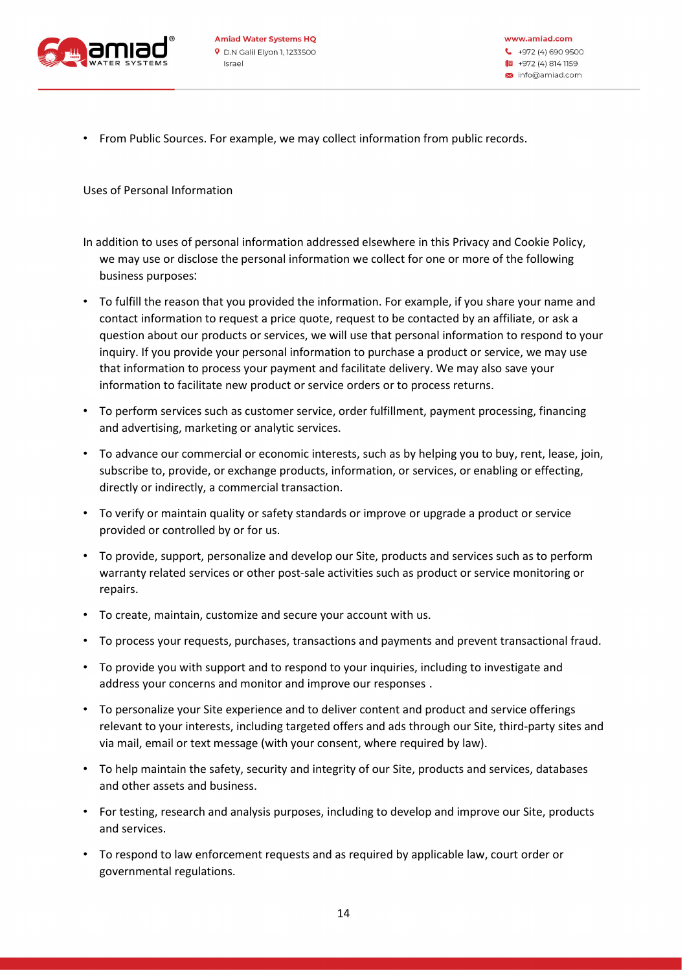

• From Public Sources. For example, we may collect information from public records .

Uses of Personal Information

- In addition to uses of personal information addressed elsewhere in this Privacy and Cookie Policy, we may use or disclose the personal information we collect for one or more of the following business purposes:
- To fulfill the reason that you provided the information. For example, if you share your name and contact information to request a price quote, request to be contacted by an affiliate, or ask a question about our products or services, we will use that personal information to respond to your inquiry. If you provide your personal information to purchase a product or service, we may use that information to process your payment and facilitate delivery. We may also save your information to facilitate new product or service orders or to process returns.
- To perform services such as customer service, order fulfillment, payment processing, financing and advertising, marketing or analytic services.
- To advance our commercial or economic interests, such as by helping you to buy, rent, lease, join, subscribe to, provide, or exchange products, information, or services, or enabling or effecting, directly or indirectly, a commercial transaction.
- To verify or maintain quality or safety standards or improve or upgrade a product or service provided or controlled by or for us.
- To provide, support, personalize and develop our Site, products and services such as to perform warranty related services or other post-sale activities such as product or service monitoring or repairs.
- To create, maintain, customize and secure your account with us .
- To process your requests, purchases, transactions and payments and prevent transactional fraud .
- To provide you with support and to respond to your inquiries, including to investigate and address your concerns and monitor and improve our responses .
- To personalize your Site experience and to deliver content and product and service offerings relevant to your interests, including targeted offers and ads through our Site, third-party sites and via mail, email or text message (with your consent, where required by law) .
- To help maintain the safety, security and integrity of our Site, products and services, databases and other assets and business.
- For testing, research and analysis purposes, including to develop and improve our Site, products and services .
- To respond to law enforcement requests and as required by applicable law, court order or governmental regulations .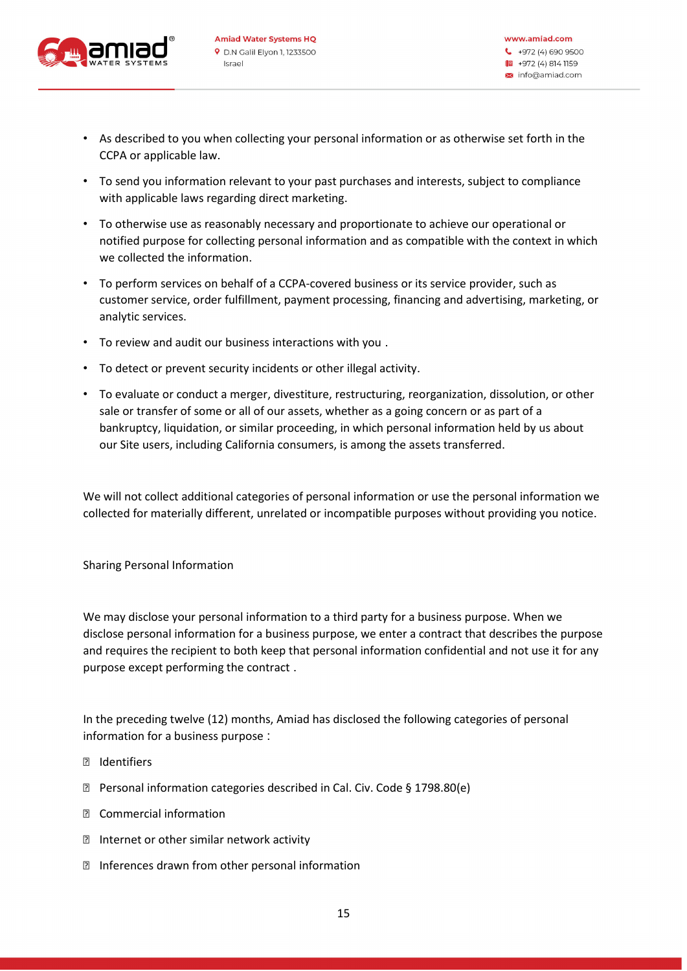

- As described to you when collecting your personal information or as otherwise set forth in the CCPA or applicable law.
- To send you information relevant to your past purchases and interests, subject to compliance with applicable laws regarding direct marketing.
- To otherwise use as reasonably necessary and proportionate to achieve our operational or notified purpose for collecting personal information and as compatible with the context in which we collected the information.
- To perform services on behalf of a CCPA-covered business or its service provider, such as customer service, order fulfillment, payment processing, financing and advertising, marketing, or analytic services .
- To review and audit our business interactions with you .
- To detect or prevent security incidents or other illegal activity .
- To evaluate or conduct a merger, divestiture, restructuring, reorganization, dissolution, or other sale or transfer of some or all of our assets, whether as a going concern or as part of a bankruptcy, liquidation, or similar proceeding, in which personal information held by us about our Site users, including California consumers, is among the assets transferred .

We will not collect additional categories of personal information or use the personal information we collected for materially different, unrelated or incompatible purposes without providing you notice .

Sharing Personal Information

We may disclose your personal information to a third party for a business purpose. When we disclose personal information for a business purpose, we enter a contract that describes the purpose and requires the recipient to both keep that personal information confidential and not use it for any purpose except performing the contract .

In the preceding twelve (12) months, Amiad has disclosed the following categories of personal information for a business purpose :

- Identifiers
- Personal information categories described in Cal. Civ. Code § 1798.80(e)
- Commercial information
- Internet or other similar network activity
- Inferences drawn from other personal information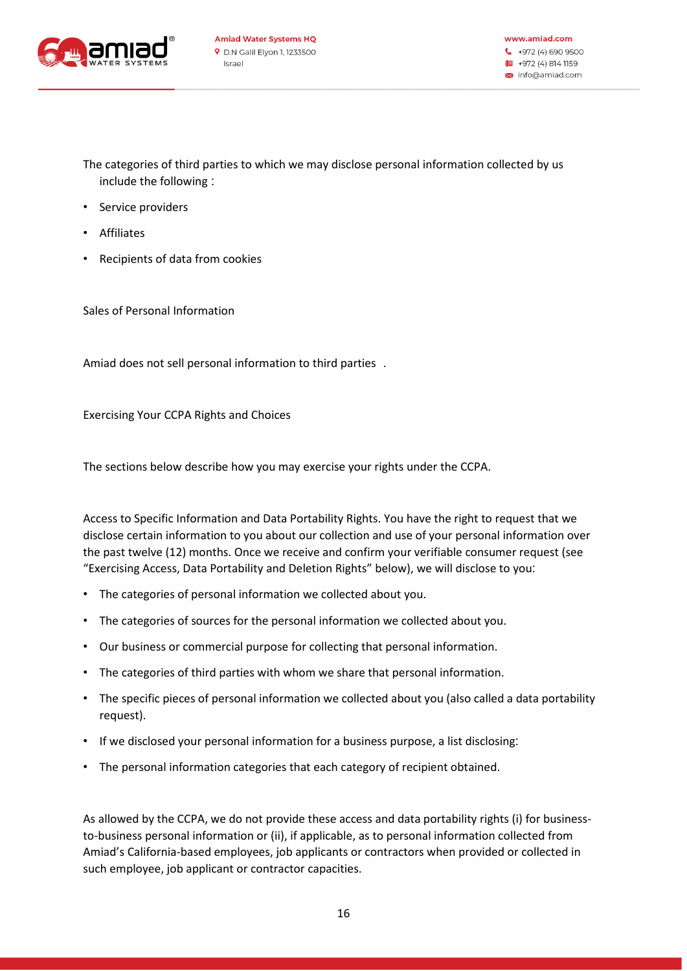

The categories of third parties to which we may disclose personal information collected by us include the following :

- Service providers
- Affiliates
- Recipients of data from cookies

Sales of Personal Information

Amiad does not sell personal information to third parties .

Exercising Your CCPA Rights and Choices

The sections below describe how you may exercise your rights under the CCPA.

Access to Specific Information and Data Portability Rights. You have the right to request that we disclose certain information to you about our collection and use of your personal information over the past twelve (12) months. Once we receive and confirm your verifiable consumer request (see "Exercising Access, Data Portability and Deletion Rights" below), we will disclose to you :

- The categories of personal information we collected about you.
- The categories of sources for the personal information we collected about you .
- Our business or commercial purpose for collecting that personal information .
- The categories of third parties with whom we share that personal information.
- The specific pieces of personal information we collected about you (also called a data portability request).
- If we disclosed your personal information for a business purpose, a list disclosing:
- The personal information categories that each category of recipient obtained.

As allowed by the CCPA, we do not provide these access and data portability rights (i) for businessto-business personal information or (ii), if applicable, as to personal information collected from Amiad's California-based employees, job applicants or contractors when provided or collected in such employee, job applicant or contractor capacities.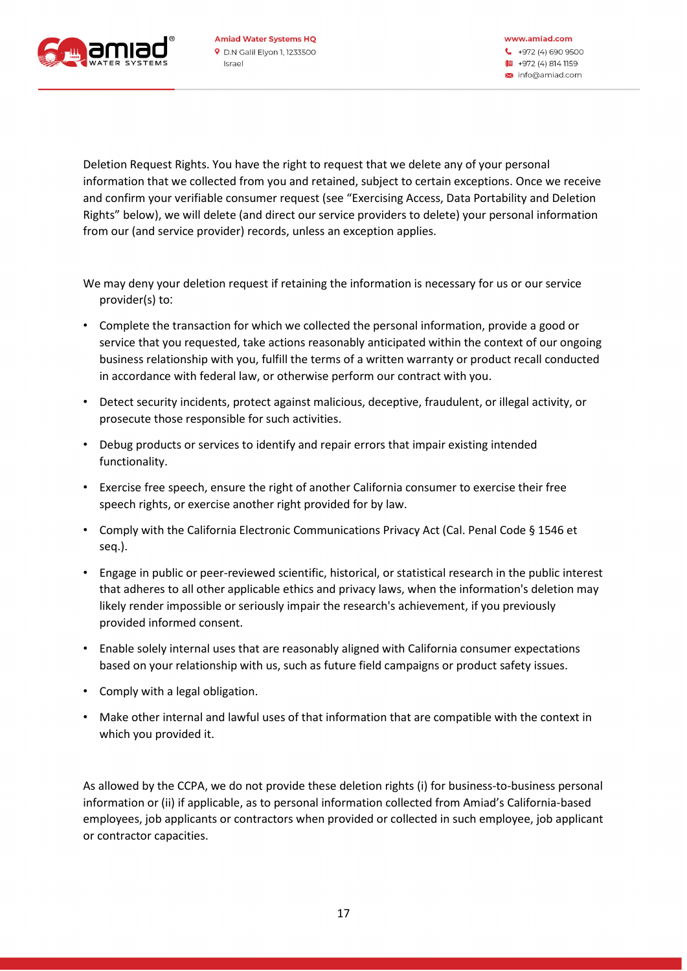

Deletion Request Rights. You have the right to request that we delete any of your personal information that we collected from you and retained, subject to certain exceptions. Once we receive and confirm your verifiable consumer request (see "Exercising Access, Data Portability and Deletion Rights" below), we will delete (and direct our service providers to delete) your personal information from our (and service provider) records, unless an exception applies.

We may deny your deletion request if retaining the information is necessary for us or our service provider(s) to:

- Complete the transaction for which we collected the personal information, provide a good or service that you requested, take actions reasonably anticipated within the context of our ongoing business relationship with you, fulfill the terms of a written warranty or product recall conducted in accordance with federal law, or otherwise perform our contract with you.
- Detect security incidents, protect against malicious, deceptive, fraudulent, or illegal activity, or prosecute those responsible for such activities .
- Debug products or services to identify and repair errors that impair existing intended functionality.
- Exercise free speech, ensure the right of another California consumer to exercise their free speech rights, or exercise another right provided for by law.
- Comply with the California Electronic Communications Privacy Act (Cal. Penal Code § 1546 et seq.).
- Engage in public or peer-reviewed scientific, historical, or statistical research in the public interest that adheres to all other applicable ethics and privacy laws, when the information's deletion may likely render impossible or seriously impair the research's achievement, if you previously provided informed consent.
- Enable solely internal uses that are reasonably aligned with California consumer expectations based on your relationship with us, such as future field campaigns or product safety issues .
- Comply with a legal obligation.
- Make other internal and lawful uses of that information that are compatible with the context in which you provided it.

As allowed by the CCPA, we do not provide these deletion rights (i) for business-to-business personal information or (ii) if applicable, as to personal information collected from Amiad's California-based employees, job applicants or contractors when provided or collected in such employee, job applicant or contractor capacities .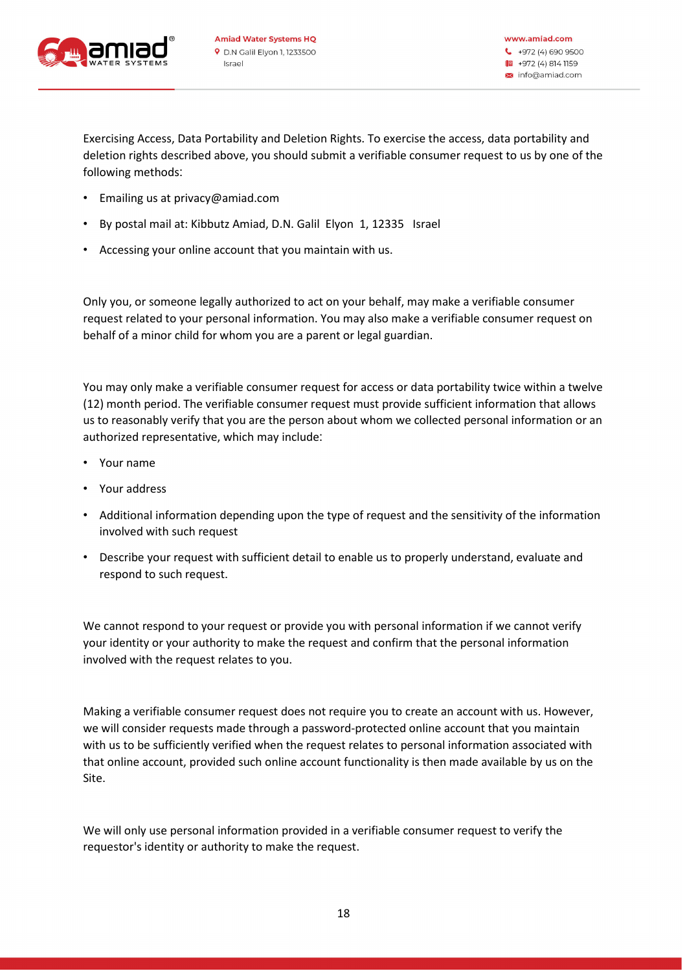

Exercising Access, Data Portability and Deletion Rights. To exercise the access, data portability and deletion rights described above, you should submit a verifiable consumer request to us by one of the following methods:

- Emailing us at privacy@amiad.com
- By postal mail at: Kibbutz Amiad, D.N. Galil Elyon 1, 12335 Israel
- Accessing your online account that you maintain with us .

Only you, or someone legally authorized to act on your behalf, may make a verifiable consumer request related to your personal information. You may also make a verifiable consumer request on behalf of a minor child for whom you are a parent or legal guardian.

You may only make a verifiable consumer request for access or data portability twice within a twelve (12) month period. The verifiable consumer request must provide sufficient information that allows us to reasonably verify that you are the person about whom we collected personal information or an authorized representative, which may include:

- Your name
- Your address
- Additional information depending upon the type of request and the sensitivity of the information involved with such request
- Describe your request with sufficient detail to enable us to properly understand, evaluate and respond to such request.

We cannot respond to your request or provide you with personal information if we cannot verify your identity or your authority to make the request and confirm that the personal information involved with the request relates to you.

Making a verifiable consumer request does not require you to create an account with us. However, we will consider requests made through a password-protected online account that you maintain with us to be sufficiently verified when the request relates to personal information associated with that online account, provided such online account functionality is then made available by us on the Site.

We will only use personal information provided in a verifiable consumer request to verify the requestor's identity or authority to make the request.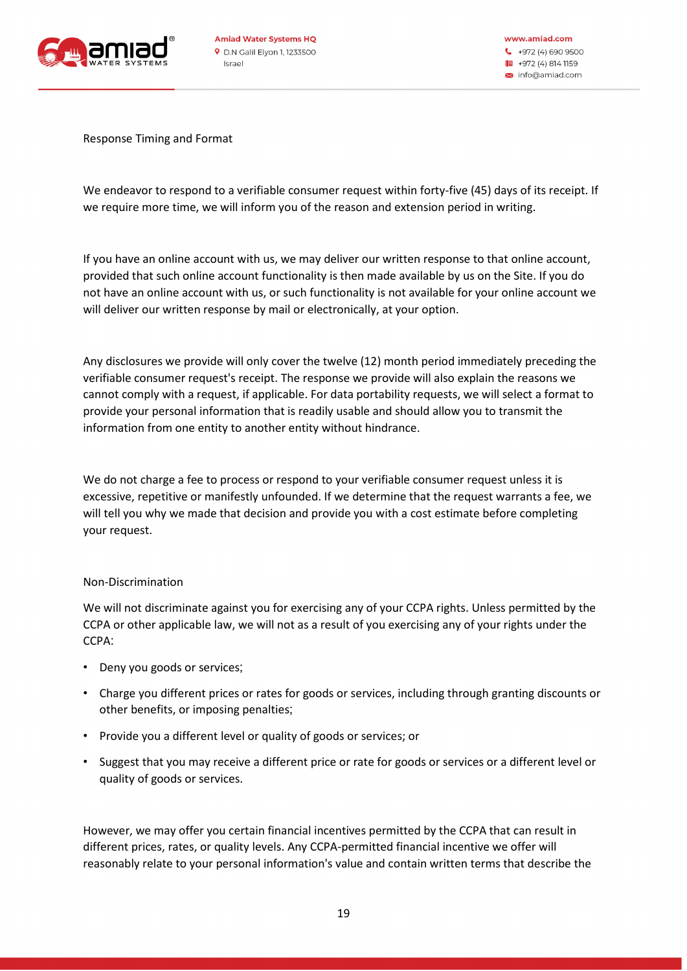

Response Timing and Format

We endeavor to respond to a verifiable consumer request within forty-five (45) days of its receipt. If we require more time, we will inform you of the reason and extension period in writing .

If you have an online account with us, we may deliver our written response to that online account, provided that such online account functionality is then made available by us on the Site. If you do not have an online account with us, or such functionality is not available for your online account we will deliver our written response by mail or electronically, at your option.

Any disclosures we provide will only cover the twelve (12) month period immediately preceding the verifiable consumer request's receipt. The response we provide will also explain the reasons we cannot comply with a request, if applicable. For data portability requests, we will select a format to provide your personal information that is readily usable and should allow you to transmit the information from one entity to another entity without hindrance .

We do not charge a fee to process or respond to your verifiable consumer request unless it is excessive, repetitive or manifestly unfounded. If we determine that the request warrants a fee, we will tell you why we made that decision and provide you with a cost estimate before completing your request.

## Non-Discrimination

We will not discriminate against you for exercising any of your CCPA rights. Unless permitted by the CCPA or other applicable law, we will not as a result of you exercising any of your rights under the CCPA:

- Deny you goods or services;
- Charge you different prices or rates for goods or services, including through granting discounts or other benefits, or imposing penalties;
- Provide you a different level or quality of goods or services; or
- Suggest that you may receive a different price or rate for goods or services or a different level or quality of goods or services.

However, we may offer you certain financial incentives permitted by the CCPA that can result in different prices, rates, or quality levels. Any CCPA-permitted financial incentive we offer will reasonably relate to your personal information's value and contain written terms that describe the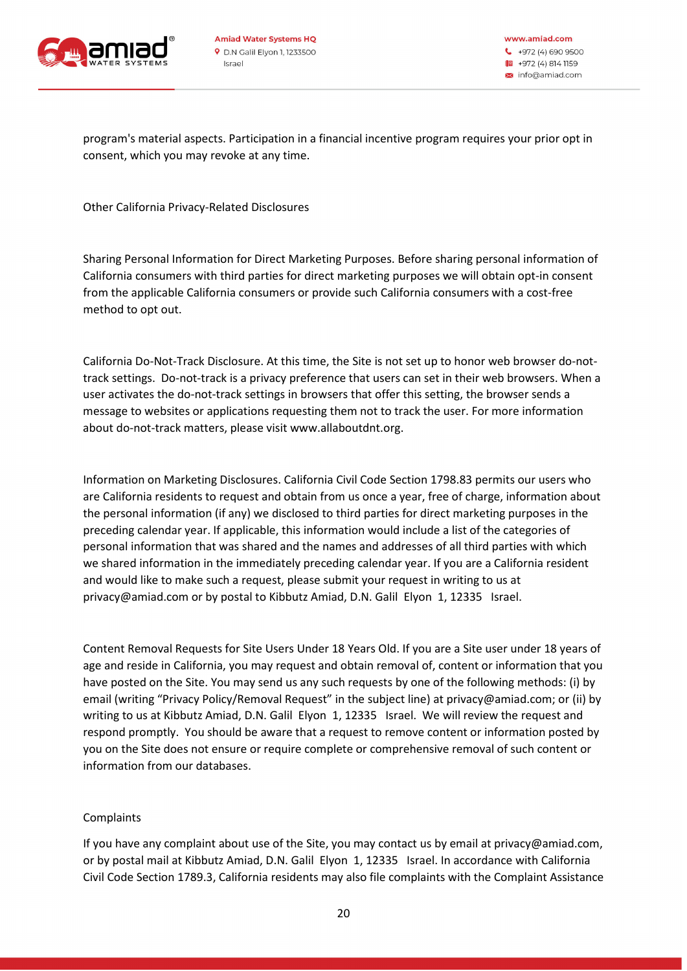

www.amiad.com  $\bullet$  +972 (4) 690 9500 1 +972 (4) 814 1159 × info@amiad.com

program's material aspects. Participation in a financial incentive program requires your prior opt in consent, which you may revoke at any time .

Other California Privacy-Related Disclosures

Sharing Personal Information for Direct Marketing Purposes. Before sharing personal information of California consumers with third parties for direct marketing purposes we will obtain opt-in consent from the applicable California consumers or provide such California consumers with a cost-free method to opt out.

California Do-Not-Track Disclosure. At this time, the Site is not set up to honor web browser do-nottrack settings. Do-not-track is a privacy preference that users can set in their web browsers. When a user activates the do-not-track settings in browsers that offer this setting, the browser sends a message to websites or applications requesting them not to track the user. For more information about do-not-track matters, please visit www.allaboutdnt.org.

Information on Marketing Disclosures. California Civil Code Section 1798.83 permits our users who are California residents to request and obtain from us once a year, free of charge, information about the personal information (if any) we disclosed to third parties for direct marketing purposes in the preceding calendar year. If applicable, this information would include a list of the categories of personal information that was shared and the names and addresses of all third parties with which we shared information in the immediately preceding calendar year. If you are a California resident and would like to make such a request, please submit your request in writing to us at privacy@amiad.com or by postal to Kibbutz Amiad, D.N. Galil Elyon 1, 12335 Israel.

Content Removal Requests for Site Users Under 18 Years Old. If you are a Site user under 18 years of age and reside in California, you may request and obtain removal of, content or information that you have posted on the Site. You may send us any such requests by one of the following methods: (i) by email (writing "Privacy Policy/Removal Request" in the subject line) at privacy@amiad.com; or (ii) by writing to us at Kibbutz Amiad, D.N. Galil Elyon 1, 12335 Israel. We will review the request and respond promptly. You should be aware that a request to remove content or information posted by you on the Site does not ensure or require complete or comprehensive removal of such content or information from our databases .

## Complaints

If you have any complaint about use of the Site, you may contact us by email at privacy@amiad.com, or by postal mail at Kibbutz Amiad, D.N. Galil Elyon 1, 12335 Israel. In accordance with California Civil Code Section 1789.3, California residents may also file complaints with the Complaint Assistance